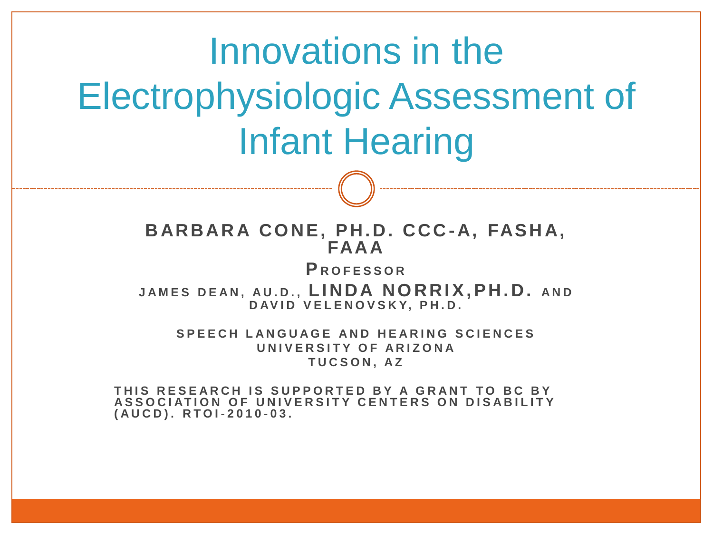# Innovations in the Electrophysiologic Assessment of Infant Hearing

#### **BARB AR A CO NE , P H. D. CCC -A, FAS H A, FAAA**

#### **P R O F E S S O R**

JAMES DEAN, AU.D., LINDA NORRIX, PH.D. AND D AV I D V E L E N O V S K Y, P H . D.

**SPEECH LANGUAGE AND HEARING SCIENCES U N I V E R S I T Y O F A R I Z O N A T U C S O N , A Z**

**THIS RESEARCH IS SUPPORTED BY A GRANT TO BC BY ASSOCIATION OF UNIVERSITY CENTERS ON DISABILITY ( A U C D ) . R T O I - 2010 - 03.**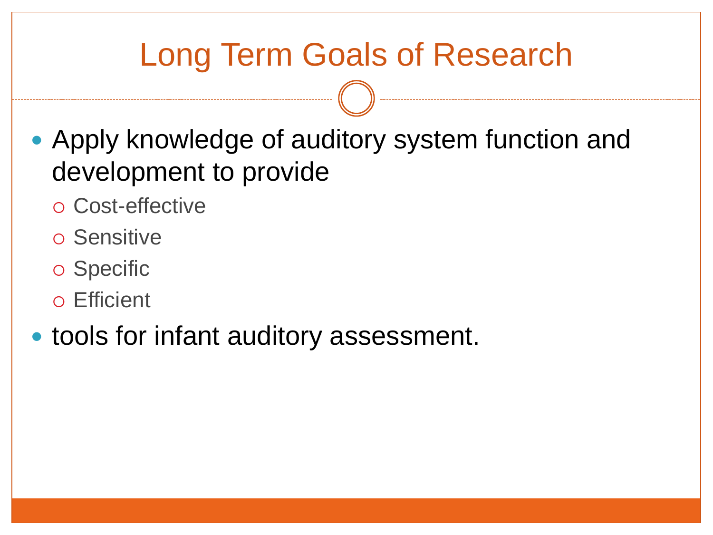### Long Term Goals of Research

- Apply knowledge of auditory system function and development to provide
	- Cost-effective
	- Sensitive
	- Specific
	- Efficient
- tools for infant auditory assessment.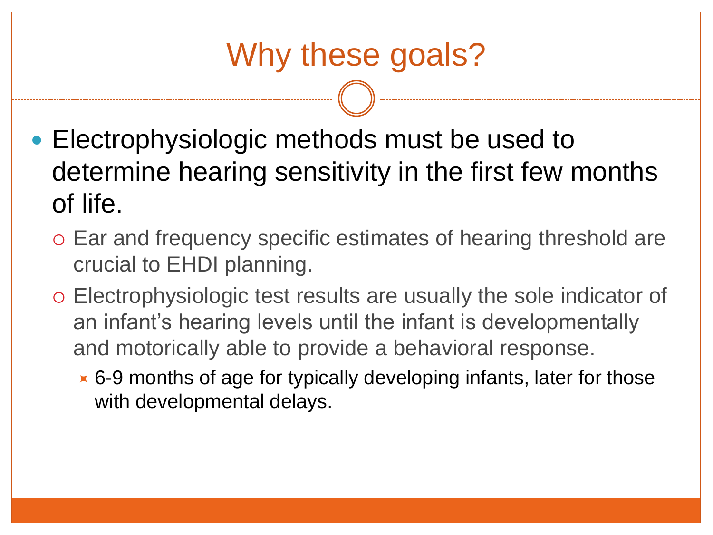- Electrophysiologic methods must be used to determine hearing sensitivity in the first few months of life.
	- Ear and frequency specific estimates of hearing threshold are crucial to EHDI planning.
	- Electrophysiologic test results are usually the sole indicator of an infant's hearing levels until the infant is developmentally and motorically able to provide a behavioral response.
		- **6-9 months of age for typically developing infants, later for those** with developmental delays.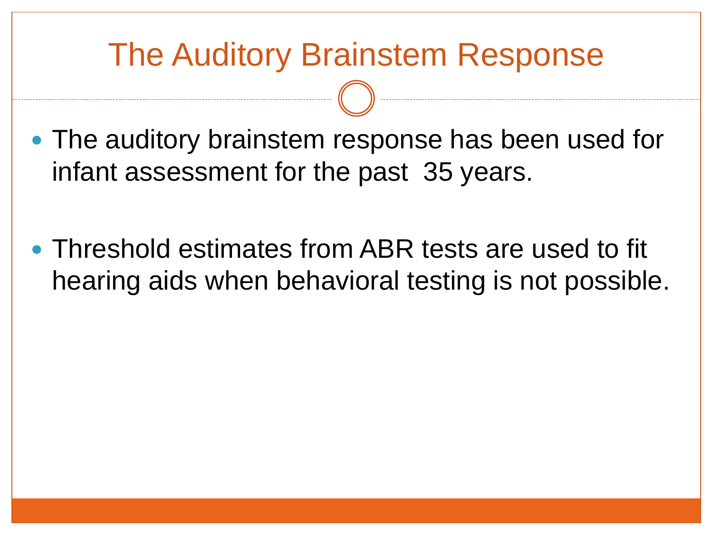### The Auditory Brainstem Response

- The auditory brainstem response has been used for infant assessment for the past 35 years.
- Threshold estimates from ABR tests are used to fit hearing aids when behavioral testing is not possible.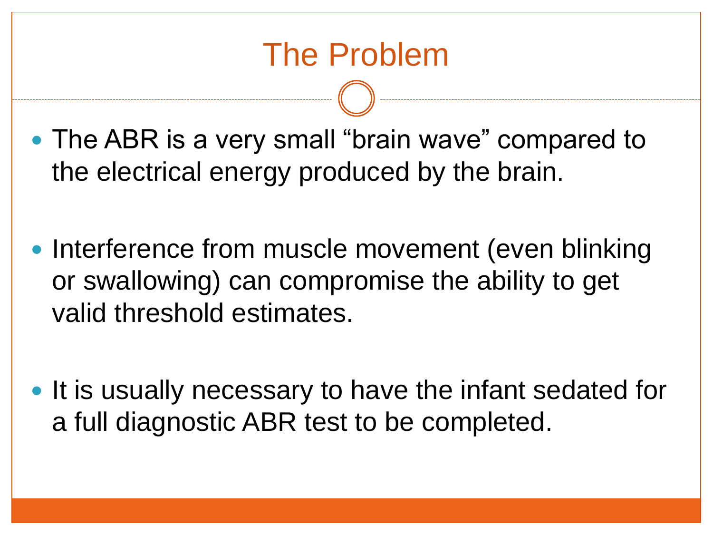- The ABR is a very small "brain wave" compared to the electrical energy produced by the brain.
- Interference from muscle movement (even blinking or swallowing) can compromise the ability to get valid threshold estimates.
- It is usually necessary to have the infant sedated for a full diagnostic ABR test to be completed.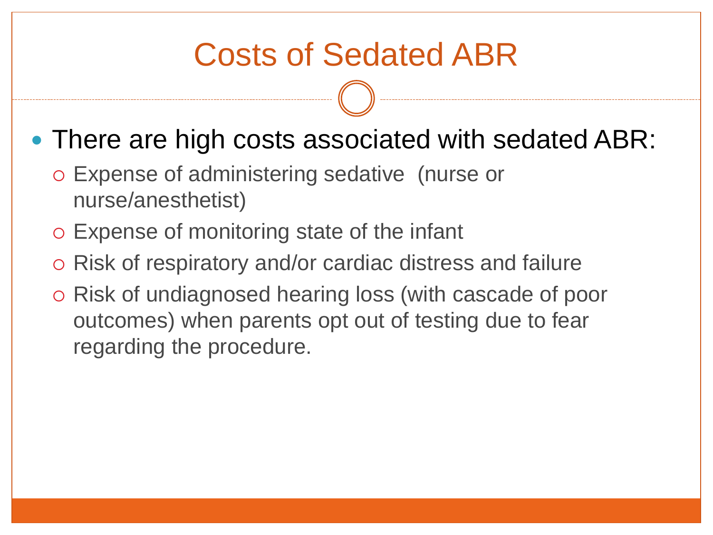### Costs of Sedated ABR

- There are high costs associated with sedated ABR:
	- Expense of administering sedative (nurse or nurse/anesthetist)
	- Expense of monitoring state of the infant
	- Risk of respiratory and/or cardiac distress and failure
	- Risk of undiagnosed hearing loss (with cascade of poor outcomes) when parents opt out of testing due to fear regarding the procedure.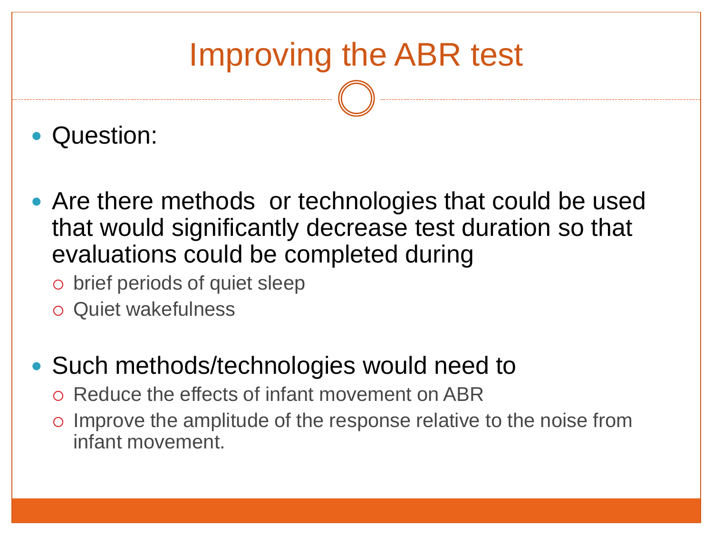### Improving the ABR test

- Question:
- Are there methods or technologies that could be used that would significantly decrease test duration so that evaluations could be completed during
	- o brief periods of quiet sleep
	- Quiet wakefulness
- Such methods/technologies would need to
	- Reduce the effects of infant movement on ABR
	- Improve the amplitude of the response relative to the noise from infant movement.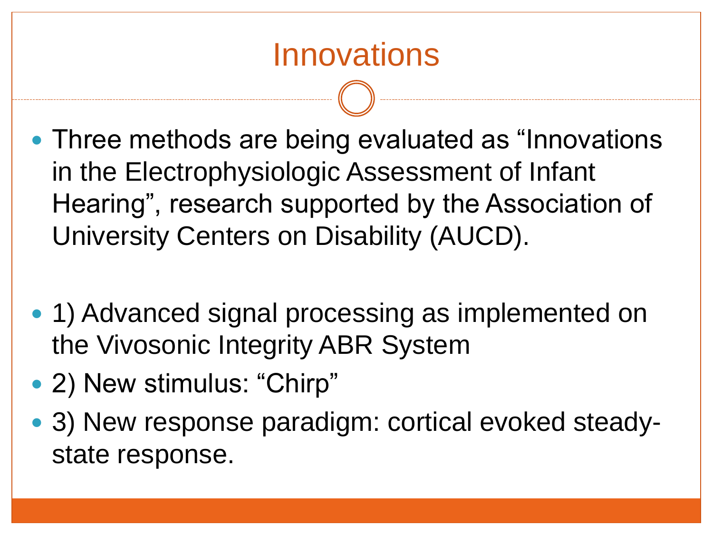### **Innovations**

- Three methods are being evaluated as "Innovations" in the Electrophysiologic Assessment of Infant Hearing", research supported by the Association of University Centers on Disability (AUCD).
- 1) Advanced signal processing as implemented on the Vivosonic Integrity ABR System
- 2) New stimulus: "Chirp"
- 3) New response paradigm: cortical evoked steadystate response.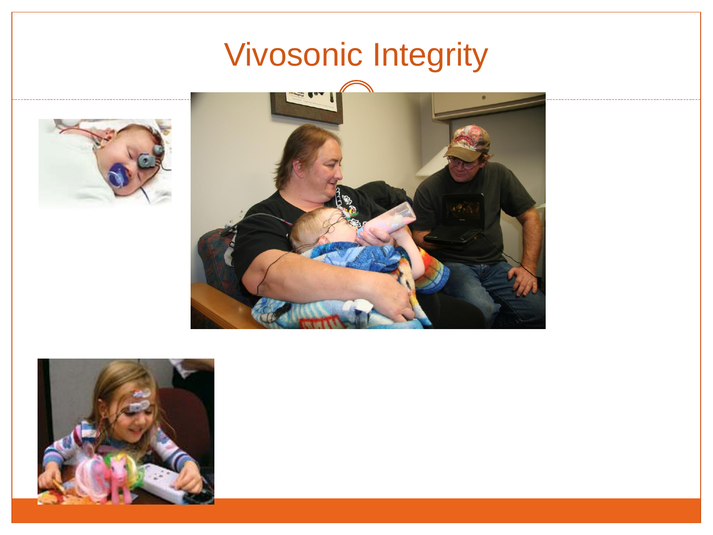### Vivosonic Integrity





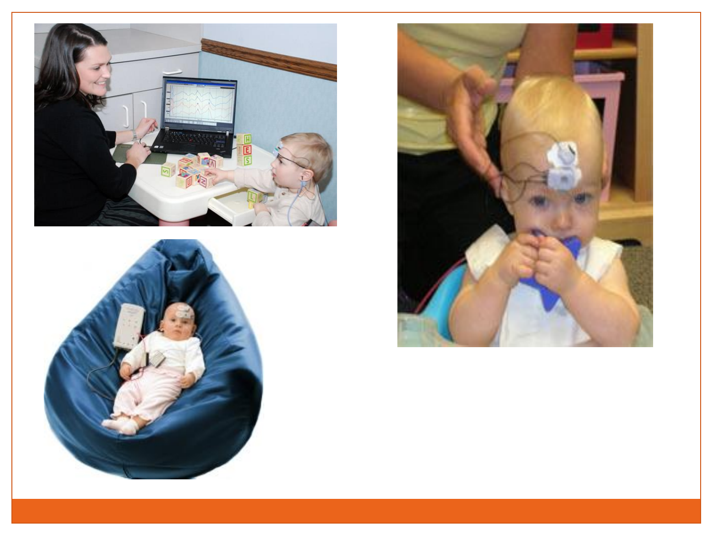



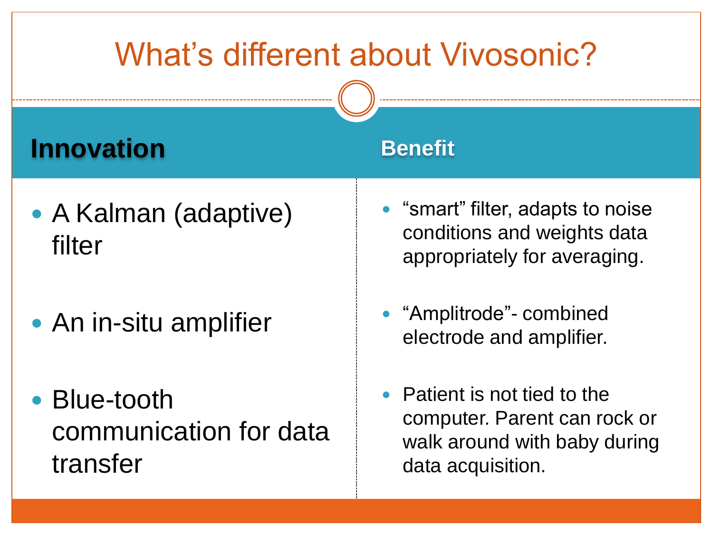#### **Innovation Benefit** • A Kalman (adaptive) filter An in-situ amplifier • Blue-tooth communication for data transfer • "smart" filter, adapts to noise conditions and weights data appropriately for averaging. • "Amplitrode"- combined electrode and amplifier. Patient is not tied to the computer. Parent can rock or walk around with baby during data acquisition. What's different about Vivosonic?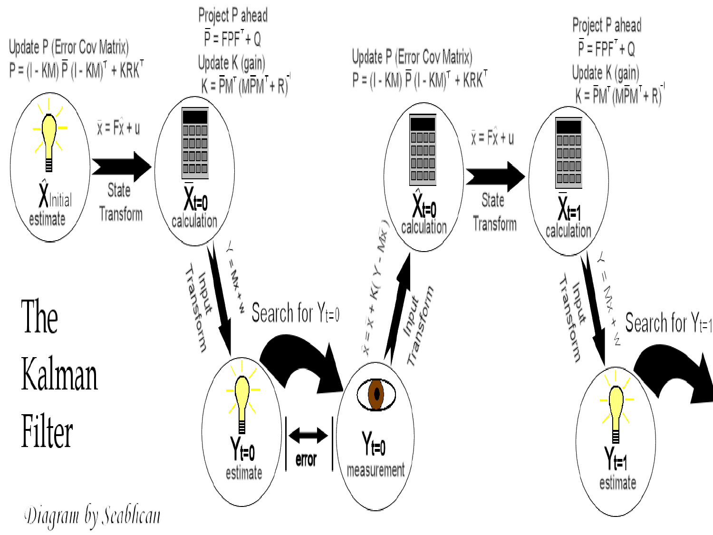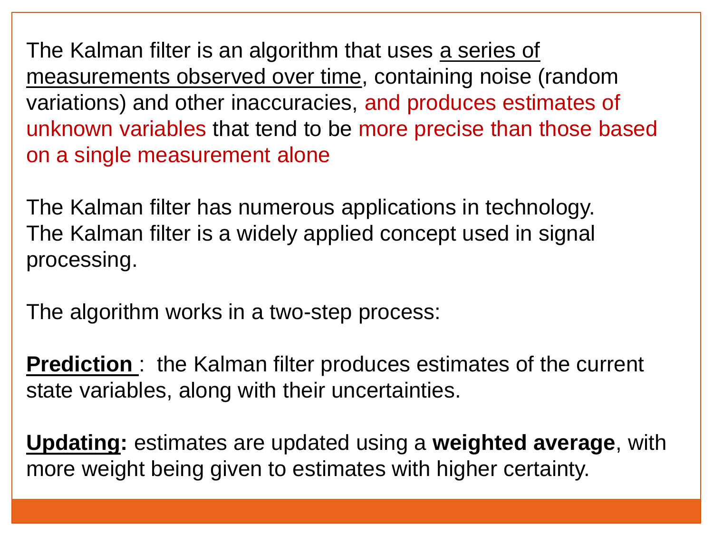The Kalman filter is an algorithm that uses a series of measurements observed over time, containing noise (random variations) and other inaccuracies, and produces estimates of unknown variables that tend to be more precise than those based on a single measurement alone

The Kalman filter has numerous applications in technology. The Kalman filter is a widely applied concept used in signal processing.

The algorithm works in a two-step process:

**Prediction** : the Kalman filter produces estimates of the current state variables, along with their uncertainties.

**Updating:** estimates are updated using a **weighted average**, with more weight being given to estimates with higher certainty.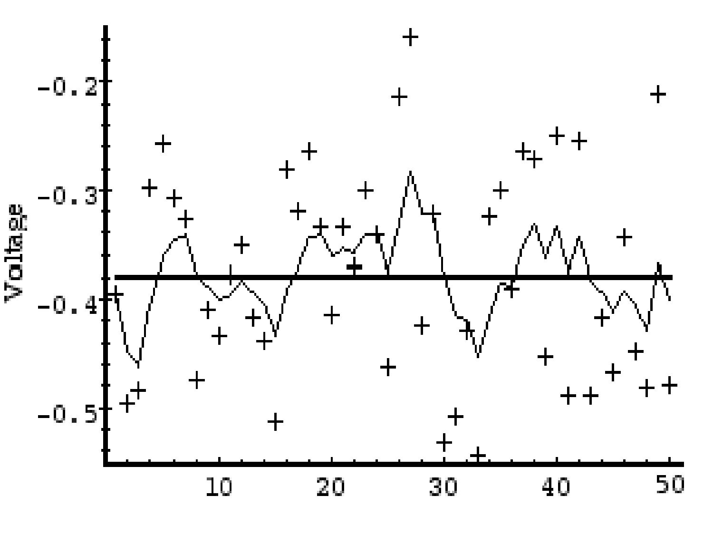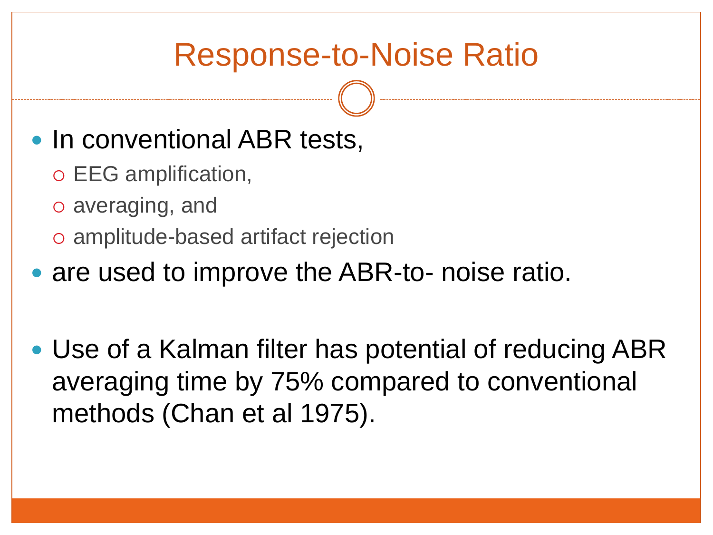### Response-to-Noise Ratio

### • In conventional ABR tests,

- EEG amplification,
- averaging, and
- amplitude-based artifact rejection
- are used to improve the ABR-to- noise ratio.
- Use of a Kalman filter has potential of reducing ABR averaging time by 75% compared to conventional methods (Chan et al 1975).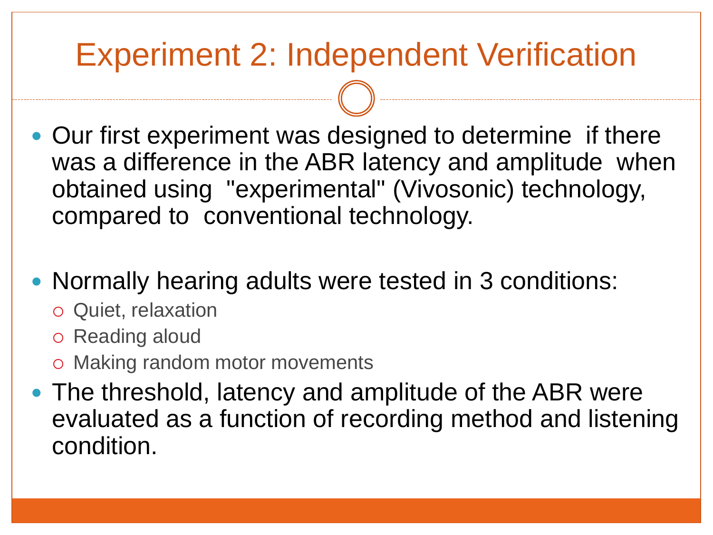### Experiment 2: Independent Verification

- Our first experiment was designed to determine if there was a difference in the ABR latency and amplitude when obtained using "experimental" (Vivosonic) technology, compared to conventional technology.
- Normally hearing adults were tested in 3 conditions:
	- Quiet, relaxation
	- Reading aloud
	- Making random motor movements
- The threshold, latency and amplitude of the ABR were evaluated as a function of recording method and listening condition.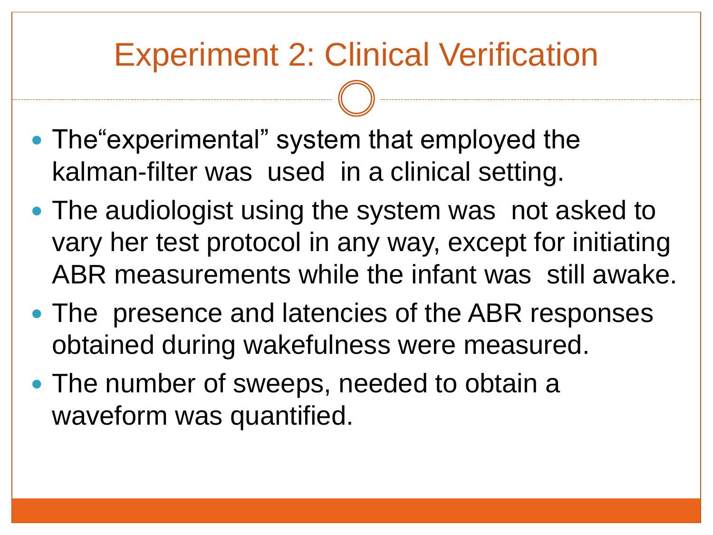### Experiment 2: Clinical Verification

- The "experimental" system that employed the kalman-filter was used in a clinical setting.
- The audiologist using the system was not asked to vary her test protocol in any way, except for initiating ABR measurements while the infant was still awake.
- The presence and latencies of the ABR responses obtained during wakefulness were measured.
- The number of sweeps, needed to obtain a waveform was quantified.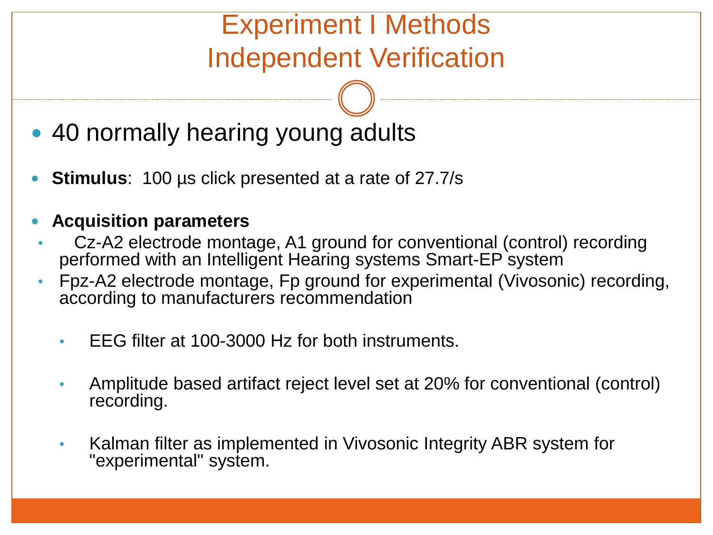### Experiment I Methods Independent Verification

- 40 normally hearing young adults
- **Stimulus**: 100 µs click presented at a rate of 27.7/s
- **Acquisition parameters**
- Cz-A2 electrode montage, A1 ground for conventional (control) recording performed with an Intelligent Hearing systems Smart-EP system
- Fpz-A2 electrode montage, Fp ground for experimental (Vivosonic) recording, according to manufacturers recommendation
	- EEG filter at 100-3000 Hz for both instruments.
	- Amplitude based artifact reject level set at 20% for conventional (control) recording.
	- Kalman filter as implemented in Vivosonic Integrity ABR system for "experimental" system.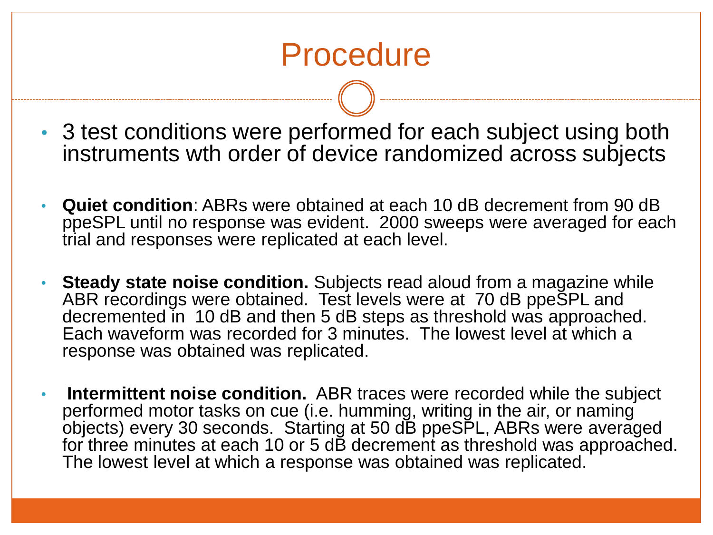### Procedure

- 3 test conditions were performed for each subject using both instruments wth order of device randomized across subjects
- **Quiet condition**: ABRs were obtained at each 10 dB decrement from 90 dB ppeSPL until no response was evident. 2000 sweeps were averaged for each trial and responses were replicated at each level.
- **Steady state noise condition.** Subjects read aloud from a magazine while ABR recordings were obtained. Test levels were at 70 dB ppeSPL and decremented in 10 dB and then 5 dB steps as threshold was approached. Each waveform was recorded for 3 minutes. The lowest level at which a response was obtained was replicated.
- **Intermittent noise condition.** ABR traces were recorded while the subject performed motor tasks on cue (i.e. humming, writing in the air, or naming objects) every 30 seconds. Starting at 50 dB ppeSPL, ABRs were averaged for three minutes at each 10 or 5 dB decrement as threshold was approached. The lowest level at which a response was obtained was replicated.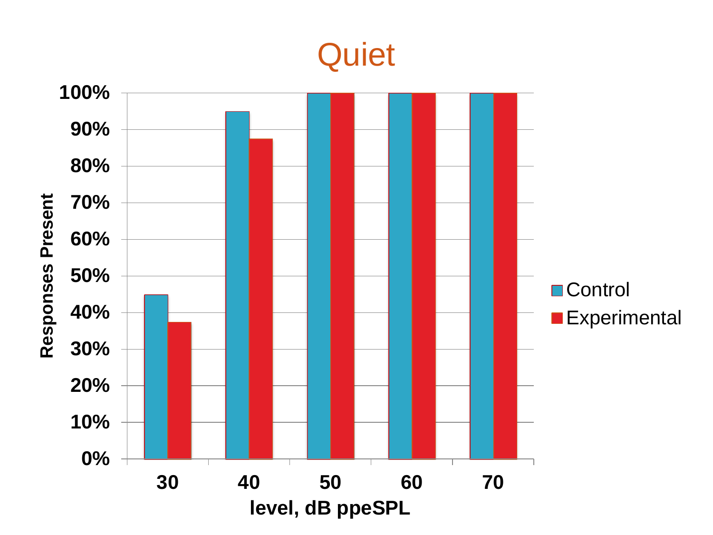### **Quiet**

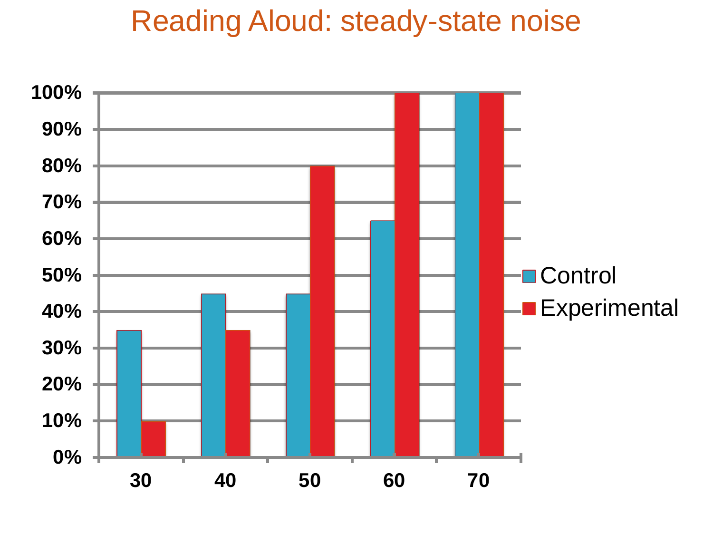#### Reading Aloud: steady-state noise

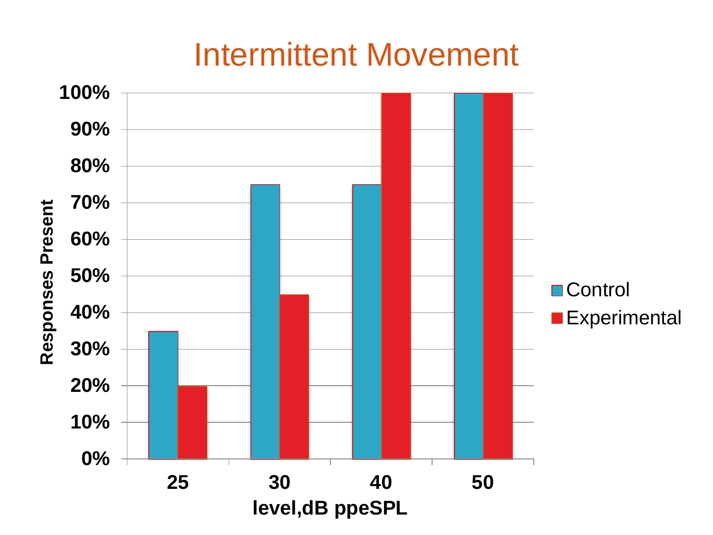### Intermittent Movement

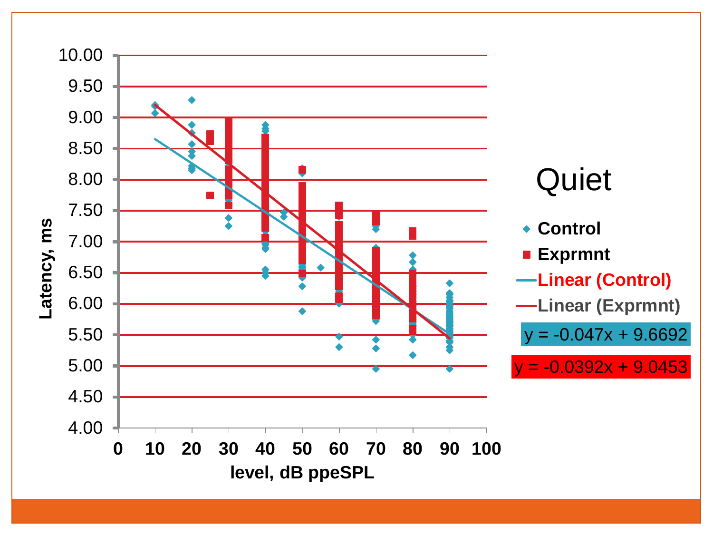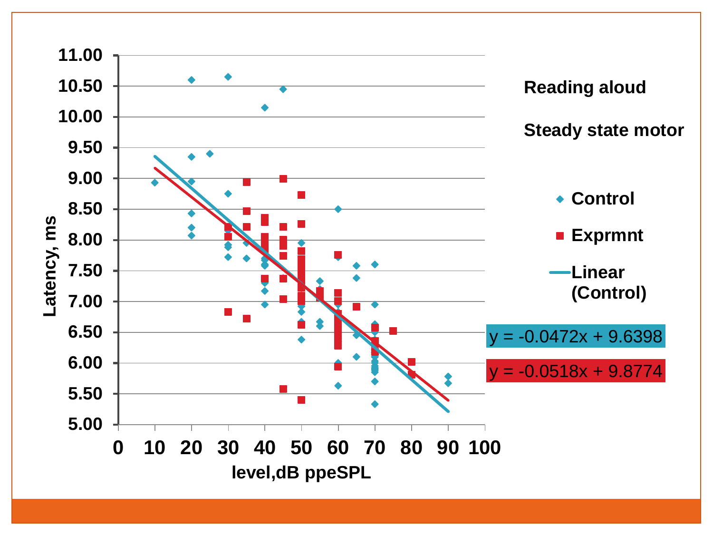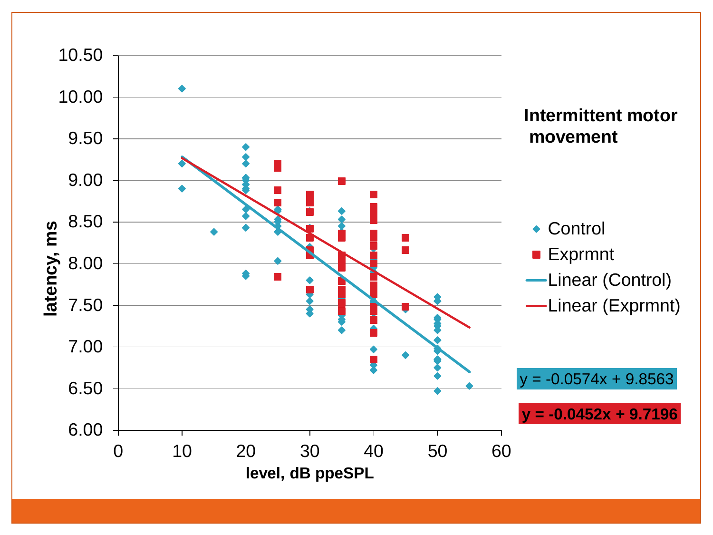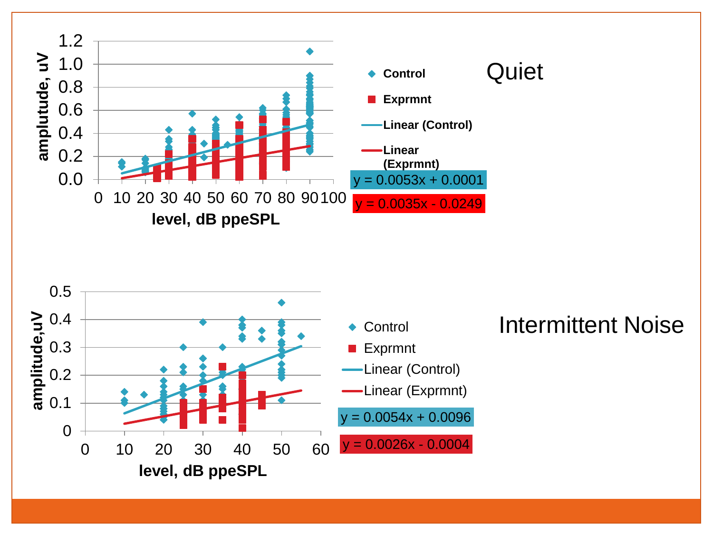

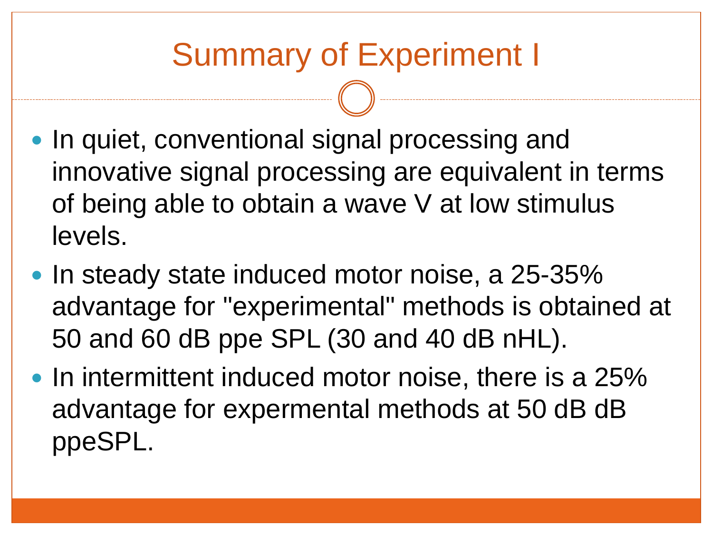### Summary of Experiment I

- In quiet, conventional signal processing and innovative signal processing are equivalent in terms of being able to obtain a wave V at low stimulus levels.
- In steady state induced motor noise, a 25-35% advantage for "experimental" methods is obtained at 50 and 60 dB ppe SPL (30 and 40 dB nHL).
- In intermittent induced motor noise, there is a 25% advantage for expermental methods at 50 dB dB ppeSPL.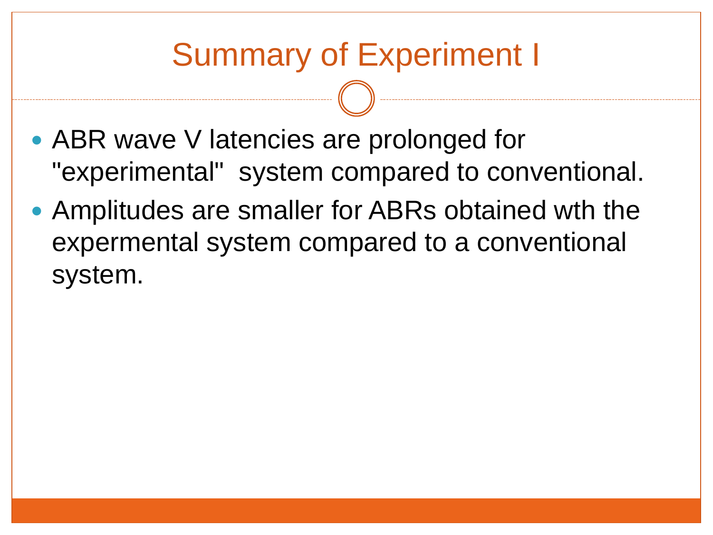### Summary of Experiment I

- ABR wave V latencies are prolonged for "experimental" system compared to conventional.
- Amplitudes are smaller for ABRs obtained wth the expermental system compared to a conventional system.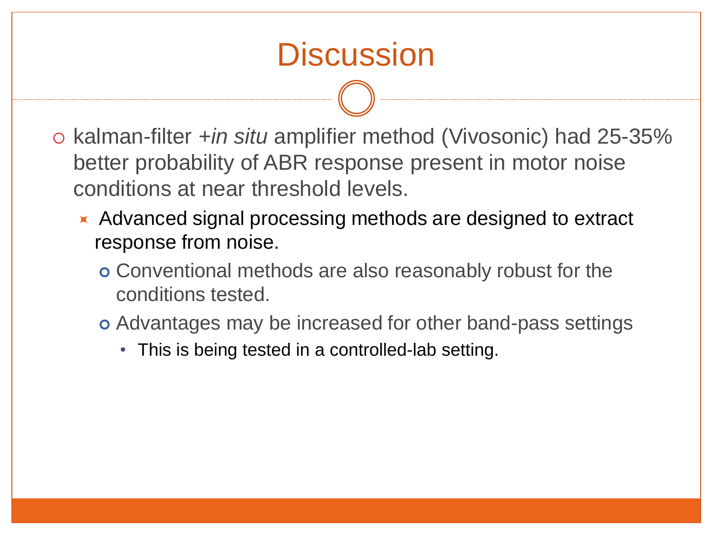### **Discussion**

- kalman-filter *+in situ* amplifier method (Vivosonic) had 25-35% better probability of ABR response present in motor noise conditions at near threshold levels.
	- Advanced signal processing methods are designed to extract response from noise.
		- Conventional methods are also reasonably robust for the conditions tested.
		- Advantages may be increased for other band-pass settings
			- This is being tested in a controlled-lab setting.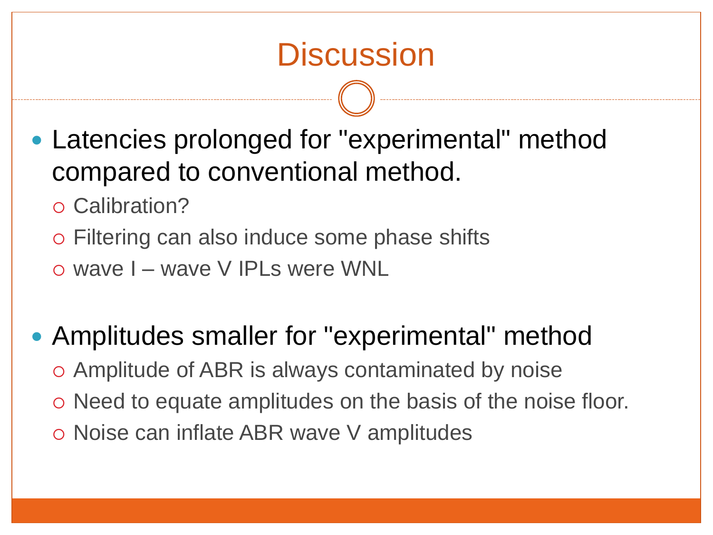### **Discussion**

- Latencies prolonged for "experimental" method compared to conventional method.
	- o Calibration?
	- Filtering can also induce some phase shifts
	- wave I wave V IPLs were WNL
- Amplitudes smaller for "experimental" method Amplitude of ABR is always contaminated by noise Need to equate amplitudes on the basis of the noise floor. o Noise can inflate ABR wave V amplitudes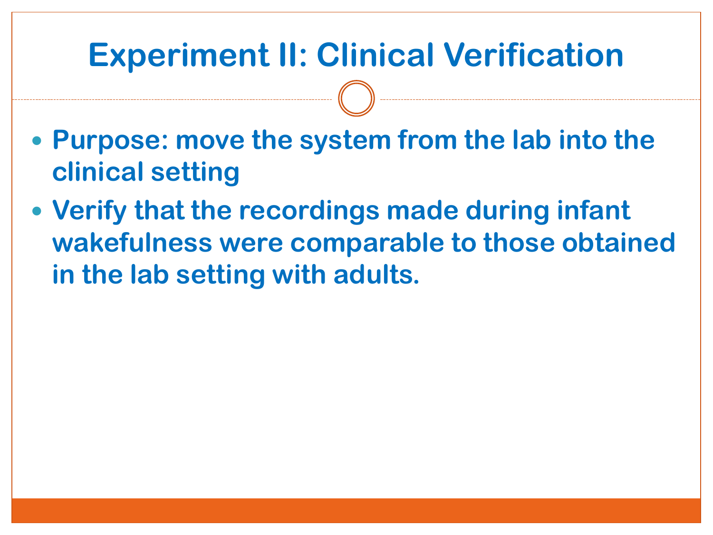### **Experiment II: Clinical Verification**

- **Purpose: move the system from the lab into the clinical setting**
- **Verify that the recordings made during infant wakefulness were comparable to those obtained in the lab setting with adults.**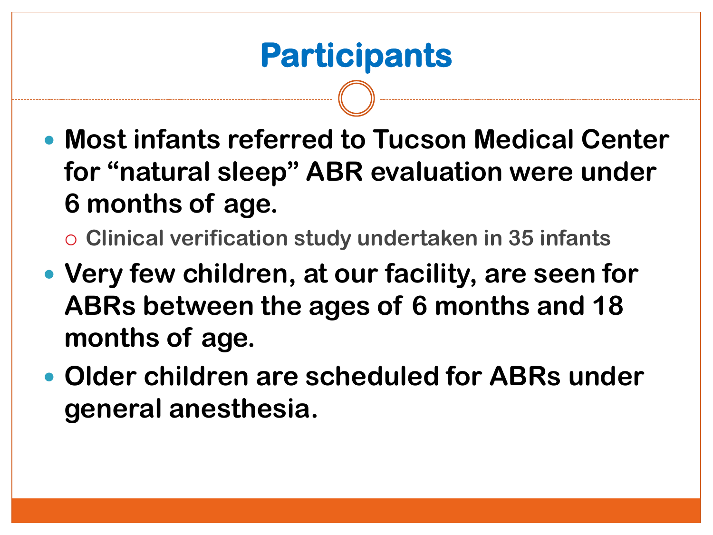### **Participants**

- **Most infants referred to Tucson Medical Center for "natural sleep" ABR evaluation were under 6 months of age.**
	- **Clinical verification study undertaken in 35 infants**
- **Very few children, at our facility, are seen for ABRs between the ages of 6 months and 18 months of age.**
- **Older children are scheduled for ABRs under general anesthesia.**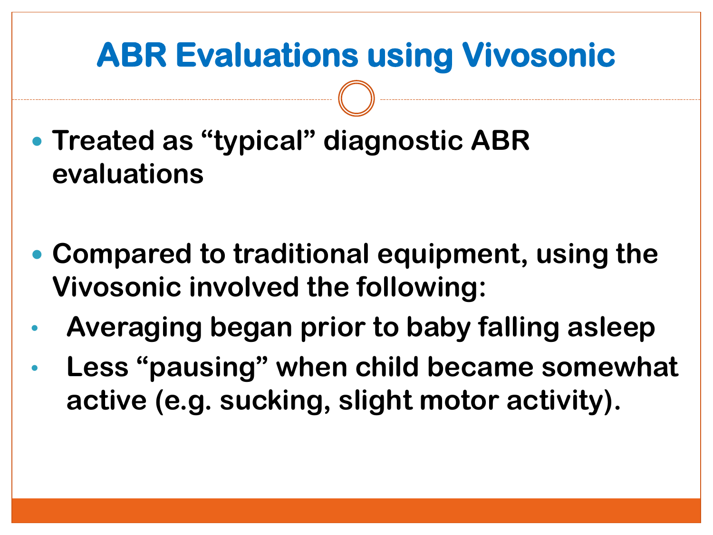### **ABR Evaluations using Vivosonic**

- **Treated as "typical" diagnostic ABR evaluations**
- **Compared to traditional equipment, using the Vivosonic involved the following:**
- **Averaging began prior to baby falling asleep**
- **Less "pausing" when child became somewhat active (e.g. sucking, slight motor activity).**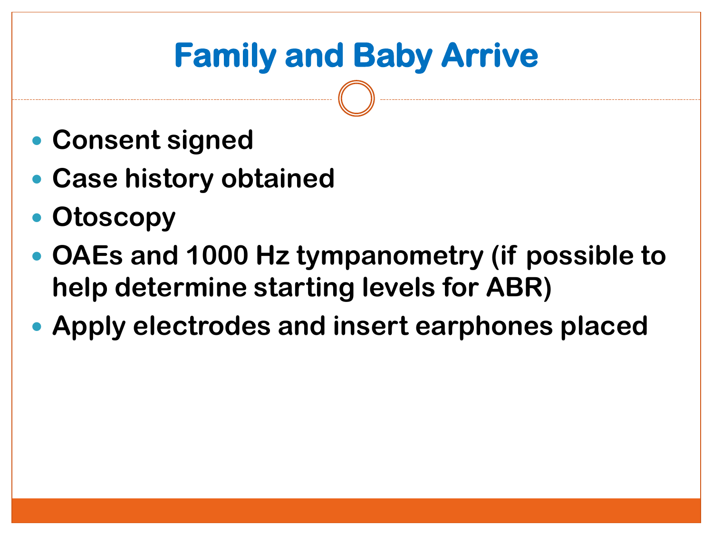## **Family and Baby Arrive**

- **Consent signed**
- **Case history obtained**
- **Otoscopy**
- **OAEs and 1000 Hz tympanometry (if possible to help determine starting levels for ABR)**
- **Apply electrodes and insert earphones placed**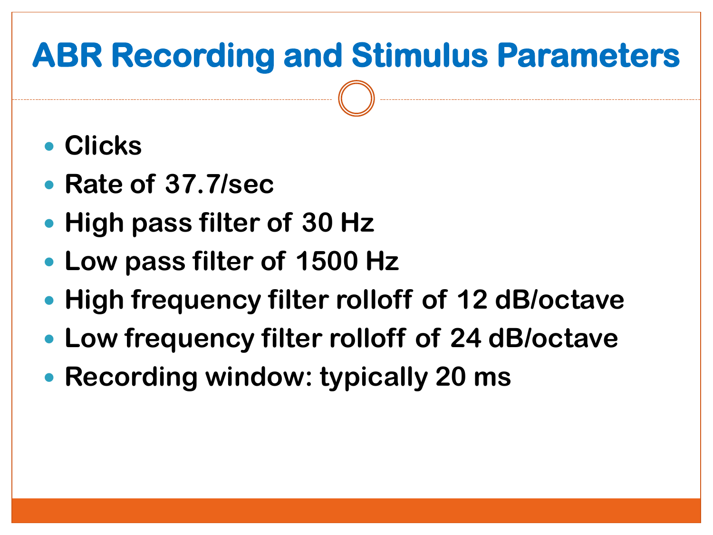### **ABR Recording and Stimulus Parameters**

- **Clicks**
- **Rate of 37.7/sec**
- **High pass filter of 30 Hz**
- **Low pass filter of 1500 Hz**
- **High frequency filter rolloff of 12 dB/octave**
- **Low frequency filter rolloff of 24 dB/octave**
- **Recording window: typically 20 ms**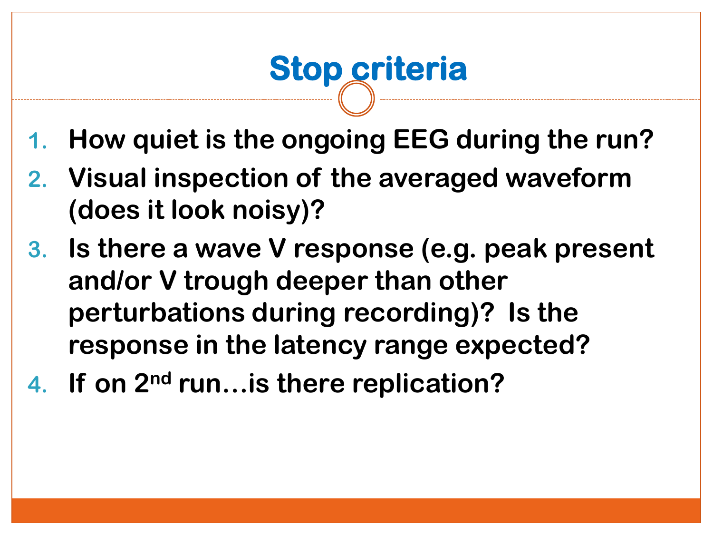# **Stop criteria**

- **1. How quiet is the ongoing EEG during the run?**
- **2. Visual inspection of the averaged waveform (does it look noisy)?**
- **3. Is there a wave V response (e.g. peak present and/or V trough deeper than other perturbations during recording)? Is the response in the latency range expected?**
- **4. If on 2nd run…is there replication?**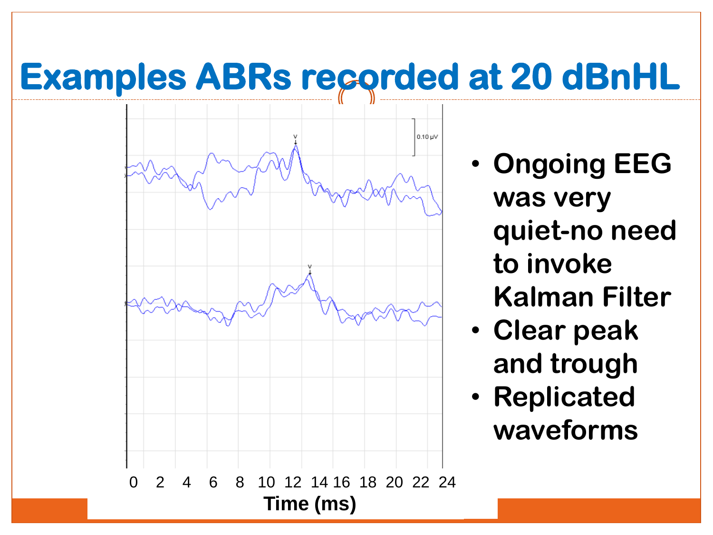## **Examples ABRs recorded at 20 dBnHL**



• **Ongoing EEG was very quiet-no need to invoke Kalman Filter**

- **Clear peak and trough**
- **Replicated waveforms**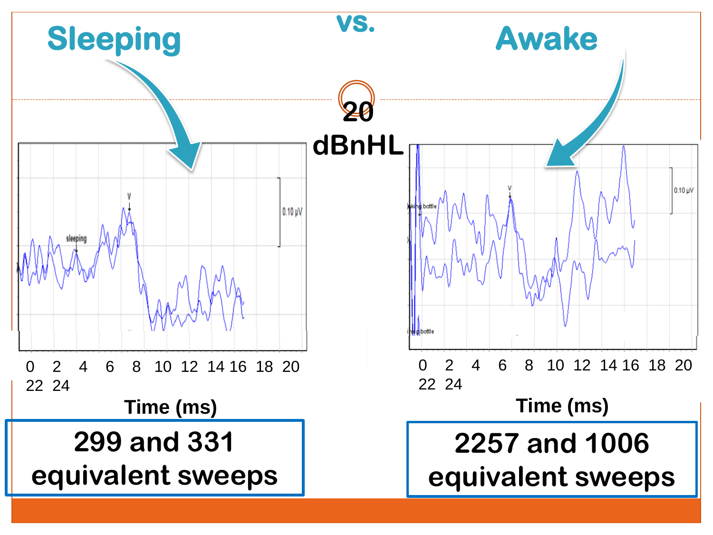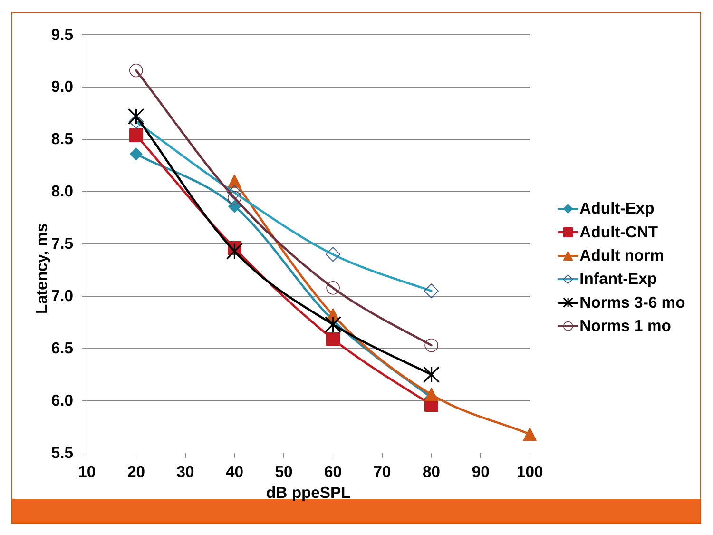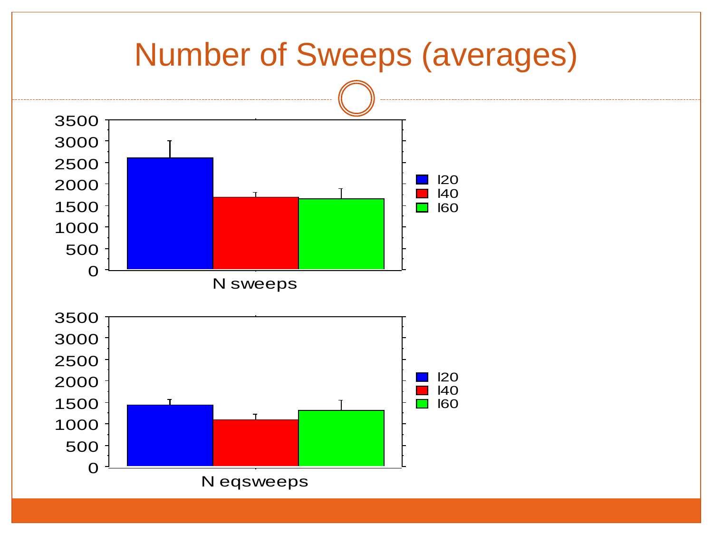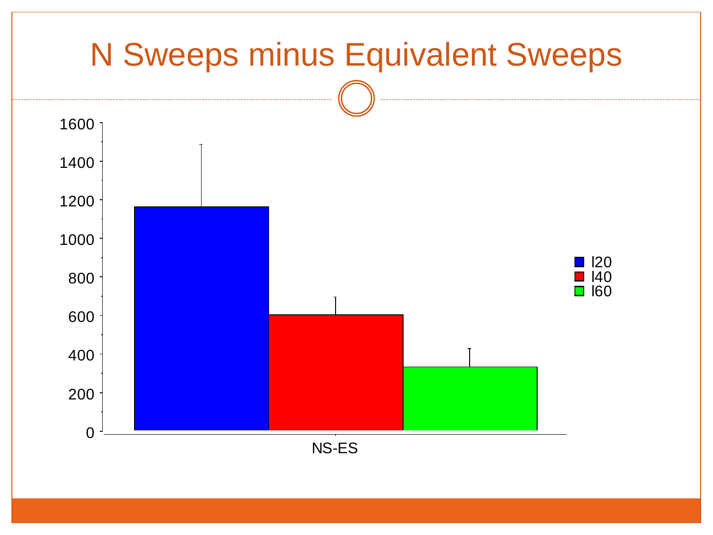